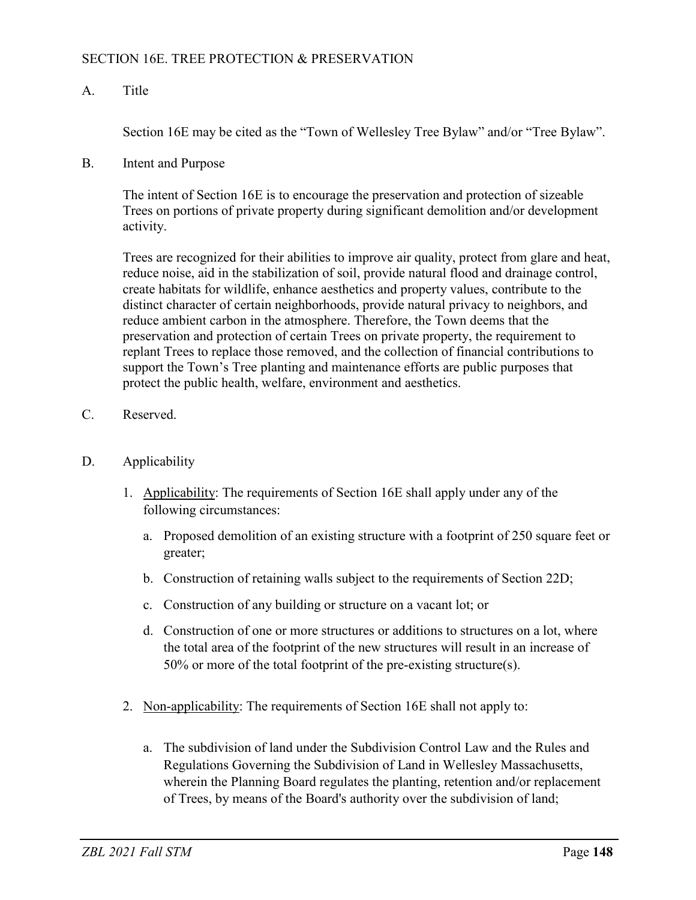## SECTION 16E. TREE PROTECTION & PRESERVATION

## A. Title

Section 16E may be cited as the "Town of Wellesley Tree Bylaw" and/or "Tree Bylaw".

B. Intent and Purpose

The intent of Section 16E is to encourage the preservation and protection of sizeable Trees on portions of private property during significant demolition and/or development activity.

Trees are recognized for their abilities to improve air quality, protect from glare and heat, reduce noise, aid in the stabilization of soil, provide natural flood and drainage control, create habitats for wildlife, enhance aesthetics and property values, contribute to the distinct character of certain neighborhoods, provide natural privacy to neighbors, and reduce ambient carbon in the atmosphere. Therefore, the Town deems that the preservation and protection of certain Trees on private property, the requirement to replant Trees to replace those removed, and the collection of financial contributions to support the Town's Tree planting and maintenance efforts are public purposes that protect the public health, welfare, environment and aesthetics.

- C. Reserved.
- D. Applicability
	- 1. Applicability: The requirements of Section 16E shall apply under any of the following circumstances:
		- a. Proposed demolition of an existing structure with a footprint of 250 square feet or greater;
		- b. Construction of retaining walls subject to the requirements of Section 22D;
		- c. Construction of any building or structure on a vacant lot; or
		- d. Construction of one or more structures or additions to structures on a lot, where the total area of the footprint of the new structures will result in an increase of 50% or more of the total footprint of the pre-existing structure(s).
	- 2. Non-applicability: The requirements of Section 16E shall not apply to:
		- a. The subdivision of land under the Subdivision Control Law and the Rules and Regulations Governing the Subdivision of Land in Wellesley Massachusetts, wherein the Planning Board regulates the planting, retention and/or replacement of Trees, by means of the Board's authority over the subdivision of land;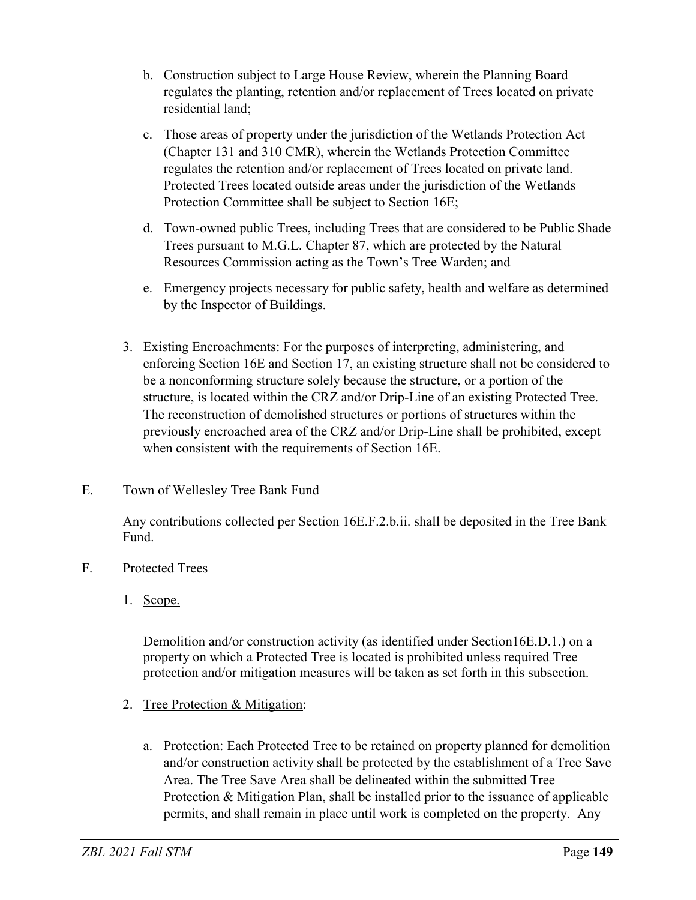- b. Construction subject to Large House Review, wherein the Planning Board regulates the planting, retention and/or replacement of Trees located on private residential land;
- c. Those areas of property under the jurisdiction of the Wetlands Protection Act (Chapter 131 and 310 CMR), wherein the Wetlands Protection Committee regulates the retention and/or replacement of Trees located on private land. Protected Trees located outside areas under the jurisdiction of the Wetlands Protection Committee shall be subject to Section 16E;
- d. Town-owned public Trees, including Trees that are considered to be Public Shade Trees pursuant to M.G.L. Chapter 87, which are protected by the Natural Resources Commission acting as the Town's Tree Warden; and
- e. Emergency projects necessary for public safety, health and welfare as determined by the Inspector of Buildings.
- 3. Existing Encroachments: For the purposes of interpreting, administering, and enforcing Section 16E and Section 17, an existing structure shall not be considered to be a nonconforming structure solely because the structure, or a portion of the structure, is located within the CRZ and/or Drip-Line of an existing Protected Tree. The reconstruction of demolished structures or portions of structures within the previously encroached area of the CRZ and/or Drip-Line shall be prohibited, except when consistent with the requirements of Section 16E.
- E. Town of Wellesley Tree Bank Fund

Any contributions collected per Section 16E.F.2.b.ii. shall be deposited in the Tree Bank Fund.

- F. Protected Trees
	- 1. Scope.

Demolition and/or construction activity (as identified under Section16E.D.1.) on a property on which a Protected Tree is located is prohibited unless required Tree protection and/or mitigation measures will be taken as set forth in this subsection.

- 2. Tree Protection & Mitigation:
	- a. Protection: Each Protected Tree to be retained on property planned for demolition and/or construction activity shall be protected by the establishment of a Tree Save Area. The Tree Save Area shall be delineated within the submitted Tree Protection & Mitigation Plan, shall be installed prior to the issuance of applicable permits, and shall remain in place until work is completed on the property. Any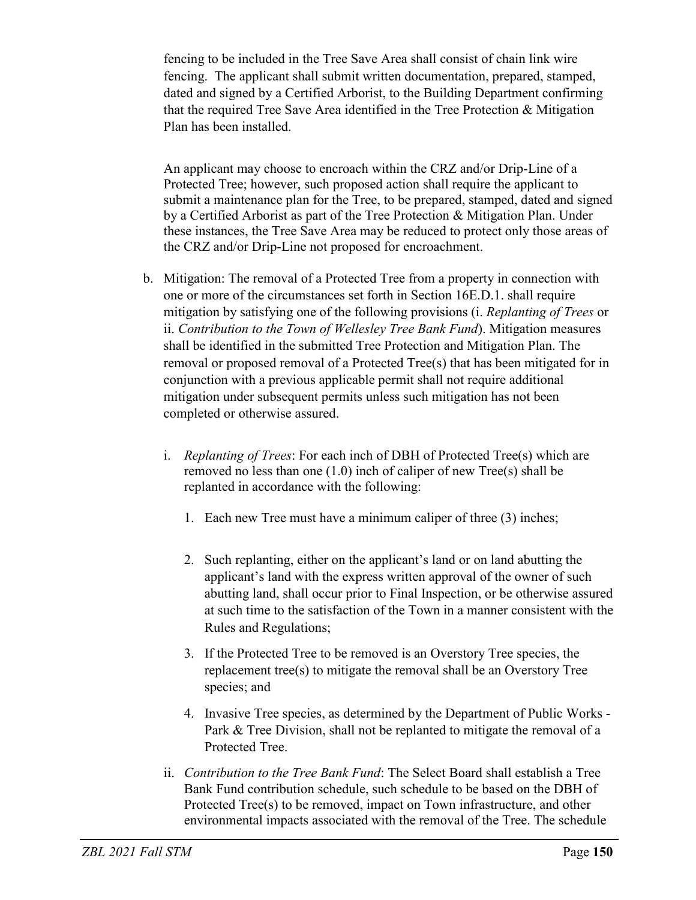fencing to be included in the Tree Save Area shall consist of chain link wire fencing. The applicant shall submit written documentation, prepared, stamped, dated and signed by a Certified Arborist, to the Building Department confirming that the required Tree Save Area identified in the Tree Protection & Mitigation Plan has been installed.

An applicant may choose to encroach within the CRZ and/or Drip-Line of a Protected Tree; however, such proposed action shall require the applicant to submit a maintenance plan for the Tree, to be prepared, stamped, dated and signed by a Certified Arborist as part of the Tree Protection & Mitigation Plan. Under these instances, the Tree Save Area may be reduced to protect only those areas of the CRZ and/or Drip-Line not proposed for encroachment.

- b. Mitigation: The removal of a Protected Tree from a property in connection with one or more of the circumstances set forth in Section 16E.D.1. shall require mitigation by satisfying one of the following provisions (i. *Replanting of Trees* or ii. *Contribution to the Town of Wellesley Tree Bank Fund*). Mitigation measures shall be identified in the submitted Tree Protection and Mitigation Plan. The removal or proposed removal of a Protected Tree(s) that has been mitigated for in conjunction with a previous applicable permit shall not require additional mitigation under subsequent permits unless such mitigation has not been completed or otherwise assured.
	- i. *Replanting of Trees*: For each inch of DBH of Protected Tree(s) which are removed no less than one (1.0) inch of caliper of new Tree(s) shall be replanted in accordance with the following:
		- 1. Each new Tree must have a minimum caliper of three (3) inches;
		- 2. Such replanting, either on the applicant's land or on land abutting the applicant's land with the express written approval of the owner of such abutting land, shall occur prior to Final Inspection, or be otherwise assured at such time to the satisfaction of the Town in a manner consistent with the Rules and Regulations;
		- 3. If the Protected Tree to be removed is an Overstory Tree species, the replacement tree(s) to mitigate the removal shall be an Overstory Tree species; and
		- 4. Invasive Tree species, as determined by the Department of Public Works Park & Tree Division, shall not be replanted to mitigate the removal of a Protected Tree.
	- ii. *Contribution to the Tree Bank Fund*: The Select Board shall establish a Tree Bank Fund contribution schedule, such schedule to be based on the DBH of Protected Tree(s) to be removed, impact on Town infrastructure, and other environmental impacts associated with the removal of the Tree. The schedule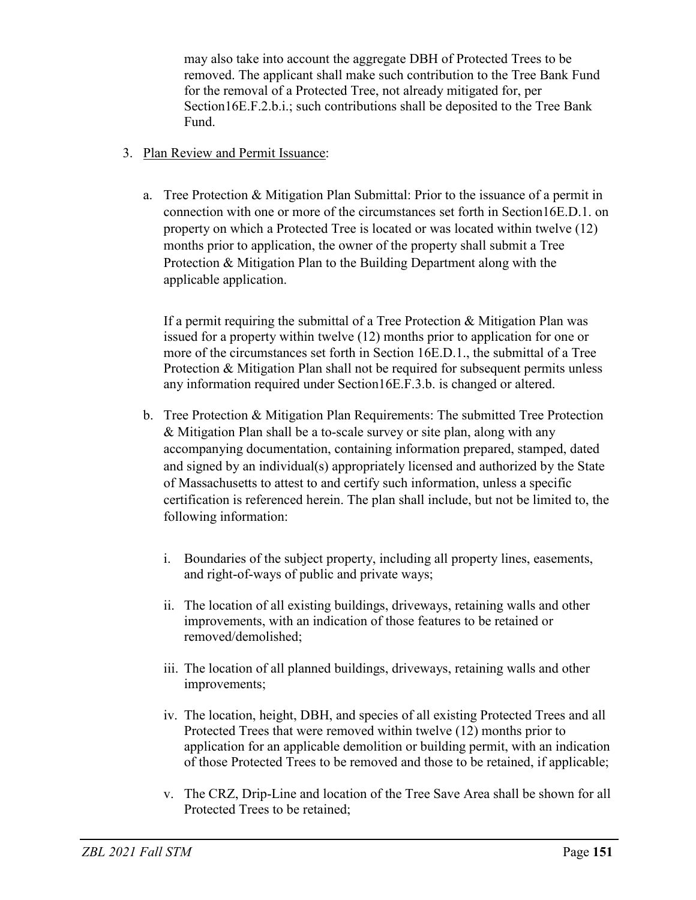may also take into account the aggregate DBH of Protected Trees to be removed. The applicant shall make such contribution to the Tree Bank Fund for the removal of a Protected Tree, not already mitigated for, per Section16E.F.2.b.i.; such contributions shall be deposited to the Tree Bank Fund.

- 3. Plan Review and Permit Issuance:
	- a. Tree Protection & Mitigation Plan Submittal: Prior to the issuance of a permit in connection with one or more of the circumstances set forth in Section16E.D.1. on property on which a Protected Tree is located or was located within twelve (12) months prior to application, the owner of the property shall submit a Tree Protection & Mitigation Plan to the Building Department along with the applicable application.

If a permit requiring the submittal of a Tree Protection  $\&$  Mitigation Plan was issued for a property within twelve (12) months prior to application for one or more of the circumstances set forth in Section 16E.D.1., the submittal of a Tree Protection & Mitigation Plan shall not be required for subsequent permits unless any information required under Section16E.F.3.b. is changed or altered.

- b. Tree Protection & Mitigation Plan Requirements: The submitted Tree Protection & Mitigation Plan shall be a to-scale survey or site plan, along with any accompanying documentation, containing information prepared, stamped, dated and signed by an individual(s) appropriately licensed and authorized by the State of Massachusetts to attest to and certify such information, unless a specific certification is referenced herein. The plan shall include, but not be limited to, the following information:
	- i. Boundaries of the subject property, including all property lines, easements, and right-of-ways of public and private ways;
	- ii. The location of all existing buildings, driveways, retaining walls and other improvements, with an indication of those features to be retained or removed/demolished;
	- iii. The location of all planned buildings, driveways, retaining walls and other improvements;
	- iv. The location, height, DBH, and species of all existing Protected Trees and all Protected Trees that were removed within twelve (12) months prior to application for an applicable demolition or building permit, with an indication of those Protected Trees to be removed and those to be retained, if applicable;
	- v. The CRZ, Drip-Line and location of the Tree Save Area shall be shown for all Protected Trees to be retained;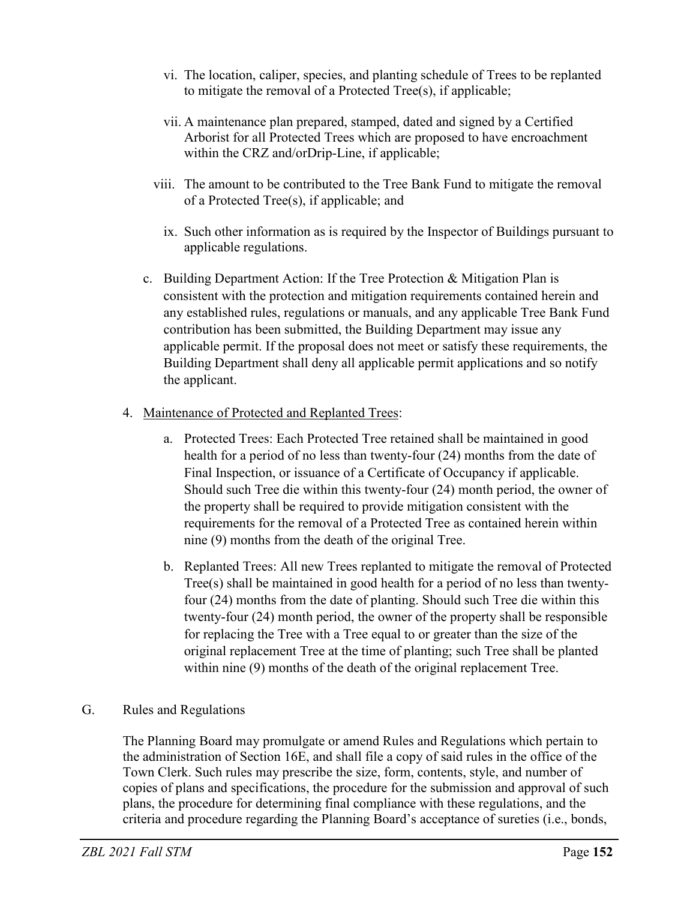- vi. The location, caliper, species, and planting schedule of Trees to be replanted to mitigate the removal of a Protected Tree(s), if applicable;
- vii. A maintenance plan prepared, stamped, dated and signed by a Certified Arborist for all Protected Trees which are proposed to have encroachment within the CRZ and/orDrip-Line, if applicable;
- viii. The amount to be contributed to the Tree Bank Fund to mitigate the removal of a Protected Tree(s), if applicable; and
	- ix. Such other information as is required by the Inspector of Buildings pursuant to applicable regulations.
- c. Building Department Action: If the Tree Protection & Mitigation Plan is consistent with the protection and mitigation requirements contained herein and any established rules, regulations or manuals, and any applicable Tree Bank Fund contribution has been submitted, the Building Department may issue any applicable permit. If the proposal does not meet or satisfy these requirements, the Building Department shall deny all applicable permit applications and so notify the applicant.

## 4. Maintenance of Protected and Replanted Trees:

- a. Protected Trees: Each Protected Tree retained shall be maintained in good health for a period of no less than twenty-four (24) months from the date of Final Inspection, or issuance of a Certificate of Occupancy if applicable. Should such Tree die within this twenty-four (24) month period, the owner of the property shall be required to provide mitigation consistent with the requirements for the removal of a Protected Tree as contained herein within nine (9) months from the death of the original Tree.
- b. Replanted Trees: All new Trees replanted to mitigate the removal of Protected Tree(s) shall be maintained in good health for a period of no less than twentyfour (24) months from the date of planting. Should such Tree die within this twenty-four (24) month period, the owner of the property shall be responsible for replacing the Tree with a Tree equal to or greater than the size of the original replacement Tree at the time of planting; such Tree shall be planted within nine (9) months of the death of the original replacement Tree.

## G. Rules and Regulations

The Planning Board may promulgate or amend Rules and Regulations which pertain to the administration of Section 16E, and shall file a copy of said rules in the office of the Town Clerk. Such rules may prescribe the size, form, contents, style, and number of copies of plans and specifications, the procedure for the submission and approval of such plans, the procedure for determining final compliance with these regulations, and the criteria and procedure regarding the Planning Board's acceptance of sureties (i.e., bonds,